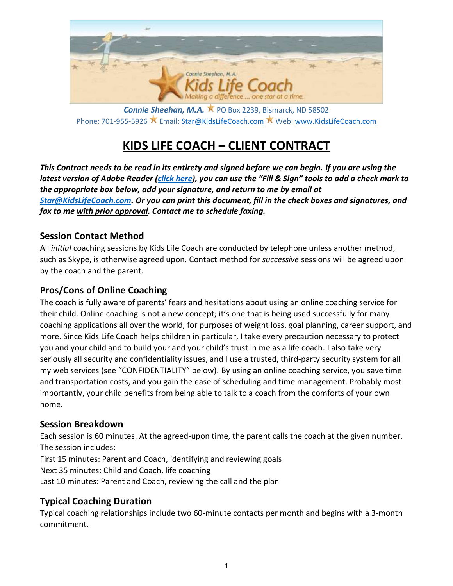

**Connie Sheehan, M.A.**  $\breve{\mathbf{X}}$  PO Box 2239, Bismarck, ND 58502 Phone: 701-955-5926 ★ Email[: Star@KidsLifeCoach.com](mailto:Star@KidsLifeCoach.com) ★ Web: [www.KidsLifeCoach.com](http://www.kidslifecoach.com/)

# **KIDS LIFE COACH – CLIENT CONTRACT**

*This Contract needs to be read in its entirety and signed before we can begin. If you are using the latest version of Adobe Reader [\(click here\)](http://get.adobe.com/reader/), you can use the "Fill & Sign" tools to add a check mark to the appropriate box below, add your signature, and return to me by email at [Star@KidsLifeCoach.com.](mailto:Star@KidsLifeCoach.com) Or you can print this document, fill in the check boxes and signatures, and fax to me with prior approval. Contact me to schedule faxing.*

## **Session Contact Method**

All *initial* coaching sessions by Kids Life Coach are conducted by telephone unless another method, such as Skype, is otherwise agreed upon. Contact method for *successive* sessions will be agreed upon by the coach and the parent.

## **Pros/Cons of Online Coaching**

The coach is fully aware of parents' fears and hesitations about using an online coaching service for their child. Online coaching is not a new concept; it's one that is being used successfully for many coaching applications all over the world, for purposes of weight loss, goal planning, career support, and more. Since Kids Life Coach helps children in particular, I take every precaution necessary to protect you and your child and to build your and your child's trust in me as a life coach. I also take very seriously all security and confidentiality issues, and I use a trusted, third-party security system for all my web services (see "CONFIDENTIALITY" below). By using an online coaching service, you save time and transportation costs, and you gain the ease of scheduling and time management. Probably most importantly, your child benefits from being able to talk to a coach from the comforts of your own home.

# **Session Breakdown**

Each session is 60 minutes. At the agreed-upon time, the parent calls the coach at the given number. The session includes:

First 15 minutes: Parent and Coach, identifying and reviewing goals

Next 35 minutes: Child and Coach, life coaching

Last 10 minutes: Parent and Coach, reviewing the call and the plan

#### **Typical Coaching Duration**

Typical coaching relationships include two 60-minute contacts per month and begins with a 3-month commitment.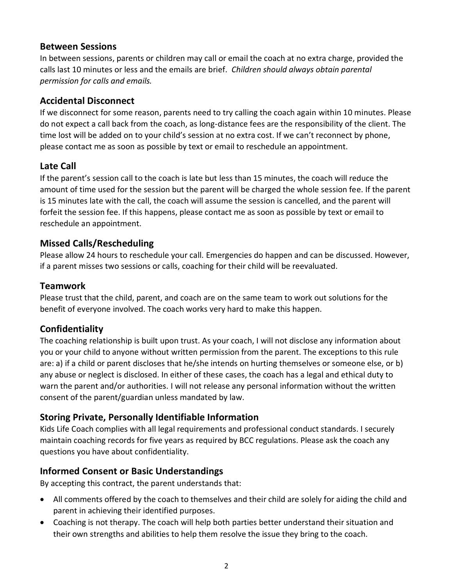#### **Between Sessions**

In between sessions, parents or children may call or email the coach at no extra charge, provided the calls last 10 minutes or less and the emails are brief. *Children should always obtain parental permission for calls and emails.*

## **Accidental Disconnect**

If we disconnect for some reason, parents need to try calling the coach again within 10 minutes. Please do not expect a call back from the coach, as long-distance fees are the responsibility of the client. The time lost will be added on to your child's session at no extra cost. If we can't reconnect by phone, please contact me as soon as possible by text or email to reschedule an appointment.

## **Late Call**

If the parent's session call to the coach is late but less than 15 minutes, the coach will reduce the amount of time used for the session but the parent will be charged the whole session fee. If the parent is 15 minutes late with the call, the coach will assume the session is cancelled, and the parent will forfeit the session fee. If this happens, please contact me as soon as possible by text or email to reschedule an appointment.

#### **Missed Calls/Rescheduling**

Please allow 24 hours to reschedule your call. Emergencies do happen and can be discussed. However, if a parent misses two sessions or calls, coaching for their child will be reevaluated.

#### **Teamwork**

Please trust that the child, parent, and coach are on the same team to work out solutions for the benefit of everyone involved. The coach works very hard to make this happen.

#### **Confidentiality**

The coaching relationship is built upon trust. As your coach, I will not disclose any information about you or your child to anyone without written permission from the parent. The exceptions to this rule are: a) if a child or parent discloses that he/she intends on hurting themselves or someone else, or b) any abuse or neglect is disclosed. In either of these cases, the coach has a legal and ethical duty to warn the parent and/or authorities. I will not release any personal information without the written consent of the parent/guardian unless mandated by law.

#### **Storing Private, Personally Identifiable Information**

Kids Life Coach complies with all legal requirements and professional conduct standards. I securely maintain coaching records for five years as required by BCC regulations. Please ask the coach any questions you have about confidentiality.

# **Informed Consent or Basic Understandings**

By accepting this contract, the parent understands that:

- All comments offered by the coach to themselves and their child are solely for aiding the child and parent in achieving their identified purposes.
- Coaching is not therapy. The coach will help both parties better understand their situation and their own strengths and abilities to help them resolve the issue they bring to the coach.